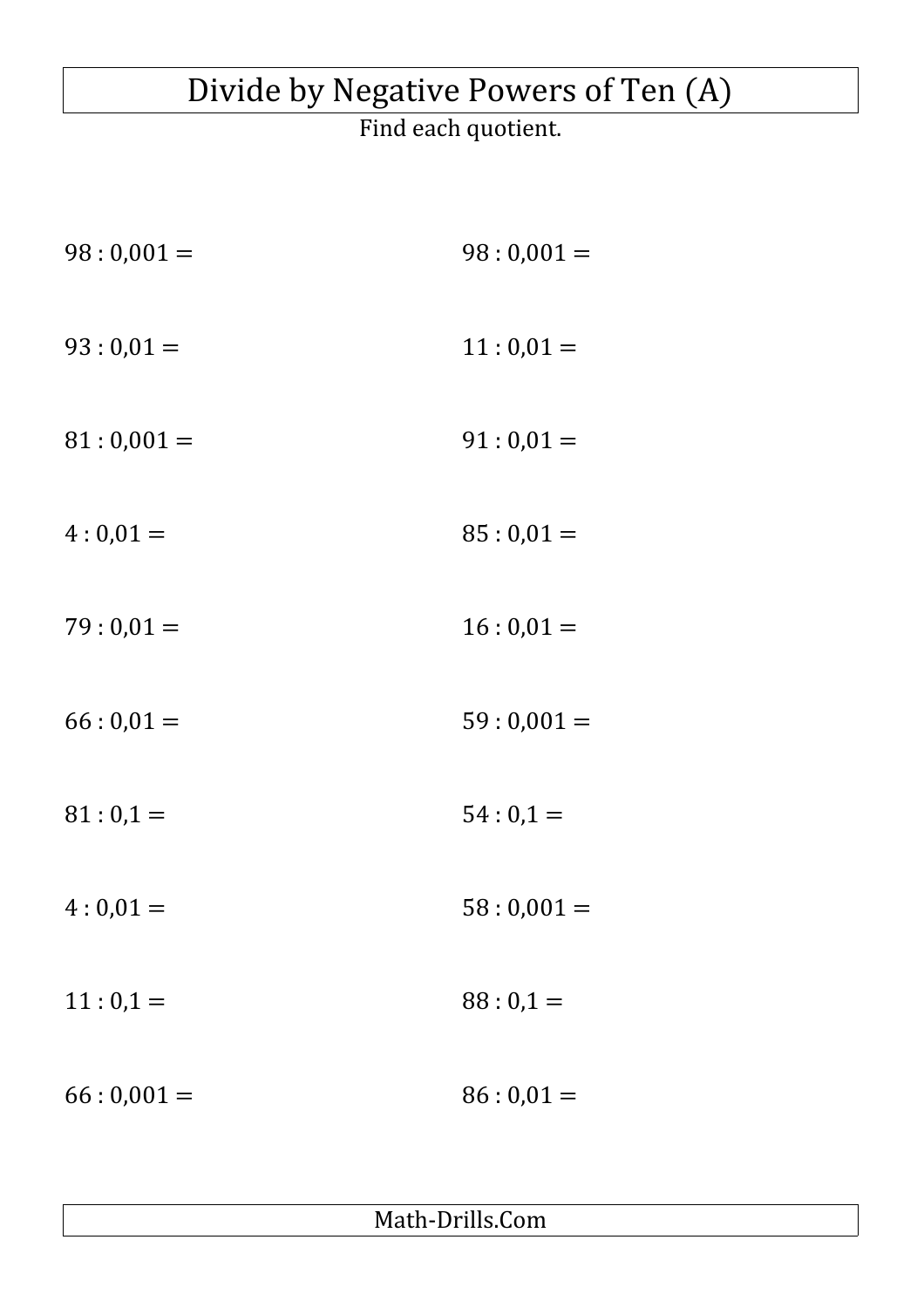## Divide by Negative Powers of Ten (A)

Find each quotient.

| $98:0,001=$ | $98:0,001=$ |
|-------------|-------------|
| $93:0,01=$  | $11:0,01=$  |
| $81:0,001=$ | $91:0,01=$  |
| $4:0,01=$   | $85:0,01=$  |
| $79:0,01=$  | $16:0,01=$  |
| $66:0,01=$  | $59:0,001=$ |
| $81:0,1=$   | $54:0,1=$   |
| $4:0,01=$   | $58:0,001=$ |
| $11:0,1=$   | $88:0,1=$   |
| $66:0,001=$ | $86:0,01=$  |

Math-Drills.Com